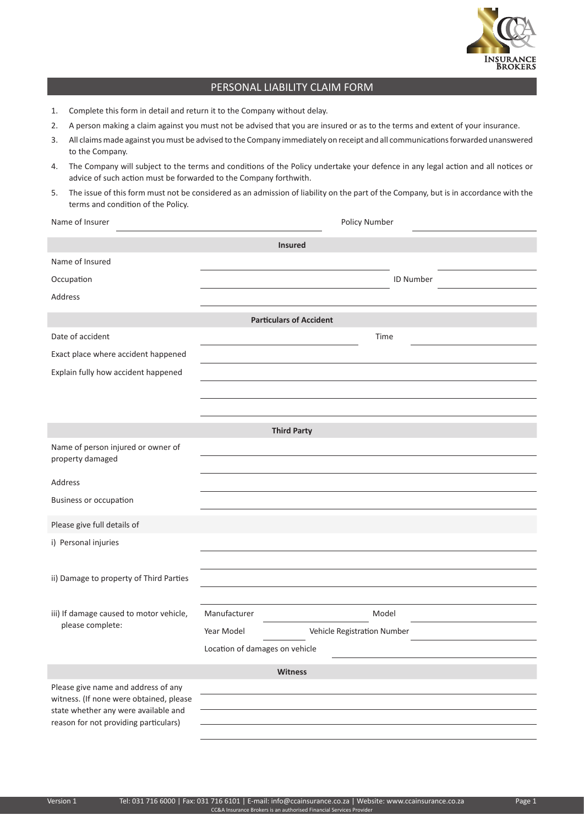

## PERSONAL LIABILITY CLAIM FORM

- 1. Complete this form in detail and return it to the Company without delay.
- 2. A person making a claim against you must not be advised that you are insured or as to the terms and extent of your insurance.
- 3. All claims made against you must be advised to the Company immediately on receipt and all communications forwarded unanswered to the Company.
- 4. The Company will subject to the terms and conditions of the Policy undertake your defence in any legal action and all notices or advice of such action must be forwarded to the Company forthwith.
- 5. The issue of this form must not be considered as an admission of liability on the part of the Company, but is in accordance with the terms and condition of the Policy.

| Name of Insurer                                                                                                        | Policy Number                             |
|------------------------------------------------------------------------------------------------------------------------|-------------------------------------------|
| <b>Insured</b>                                                                                                         |                                           |
| Name of Insured                                                                                                        |                                           |
| Occupation                                                                                                             | <b>ID Number</b>                          |
| Address                                                                                                                |                                           |
| <b>Particulars of Accident</b>                                                                                         |                                           |
| Date of accident                                                                                                       | Time                                      |
| Exact place where accident happened                                                                                    |                                           |
| Explain fully how accident happened                                                                                    |                                           |
|                                                                                                                        |                                           |
|                                                                                                                        |                                           |
| <b>Third Party</b>                                                                                                     |                                           |
| Name of person injured or owner of<br>property damaged                                                                 |                                           |
| Address                                                                                                                |                                           |
| <b>Business or occupation</b>                                                                                          |                                           |
| Please give full details of                                                                                            |                                           |
| i) Personal injuries                                                                                                   |                                           |
|                                                                                                                        |                                           |
| ii) Damage to property of Third Parties                                                                                |                                           |
|                                                                                                                        |                                           |
| iii) If damage caused to motor vehicle,<br>please complete:                                                            | Manufacturer<br>Model                     |
|                                                                                                                        | Year Model<br>Vehicle Registration Number |
|                                                                                                                        | Location of damages on vehicle            |
| Witness                                                                                                                |                                           |
| Please give name and address of any<br>witness. (If none were obtained, please<br>state whether any were available and |                                           |
|                                                                                                                        |                                           |
| reason for not providing particulars)                                                                                  |                                           |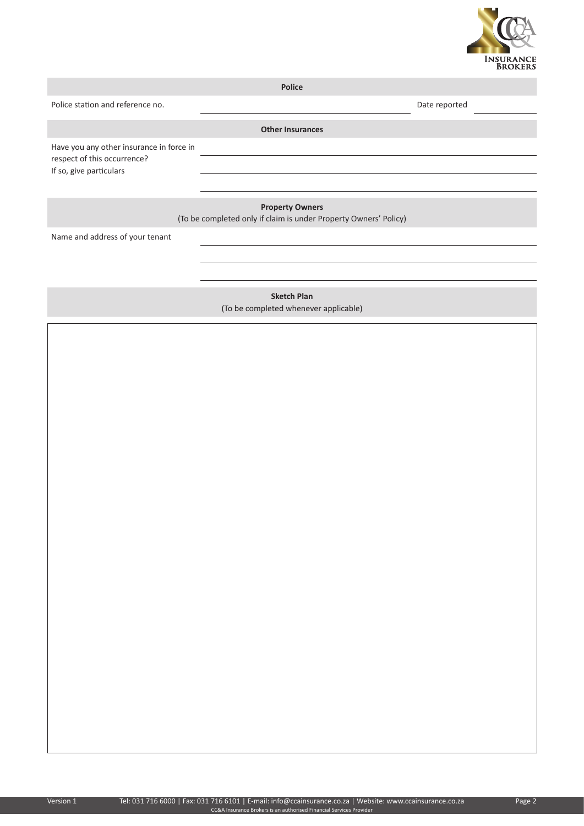

**Police**

Police station and reference no. **Date reported** 

**Other Insurances**

Have you any other insurance in force in respect of this occurrence? If so, give particulars

**Property Owners**

(To be completed only if claim is under Property Owners' Policy)

Name and address of your tenant

**Sketch Plan** (To be completed whenever applicable)